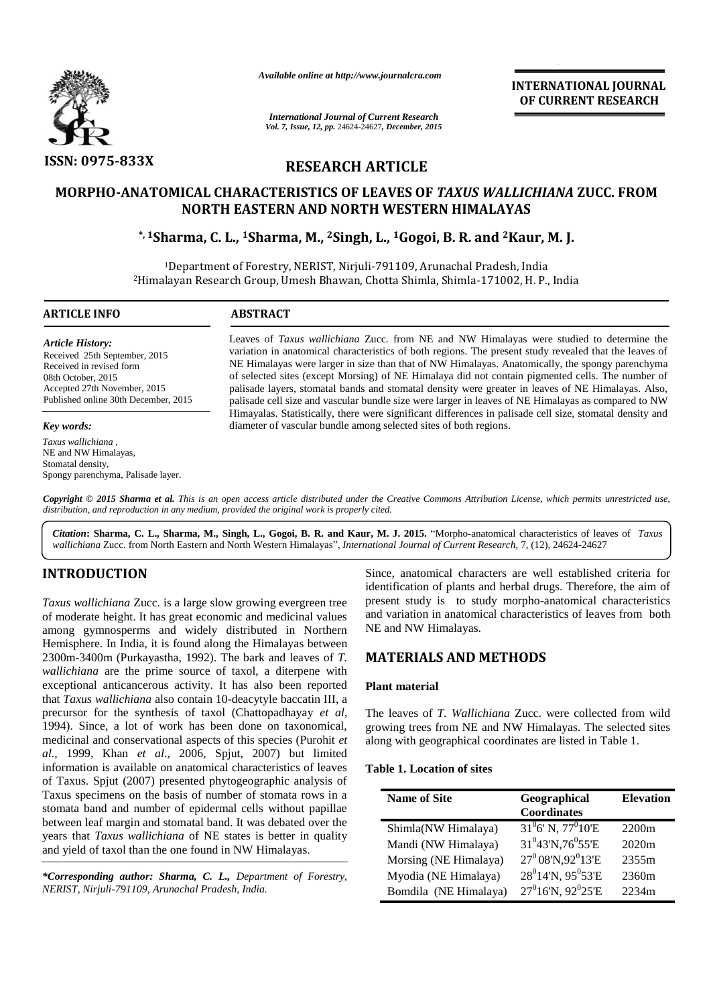

*Available online at http://www.journalcra.com*

*International Journal of Current Research Vol. 7, Issue, 12, pp.* 24624-24627*, December, 2015* **INTERNATIONAL JOURNAL OF CURRENT RESEARCH** 

# **RESEARCH ARTICLE**

# **MORPHO-ANATOMICAL CHARACTERISTICS OF LEAVES OF** *TAXUS WALLICHIANA* **ZUCC. FROM NORTH EASTERN AND NORTH WESTERN HIMALAYAS**

## **\*, 1Sharma, C. L., 1Sharma, M., 2Singh, L., 1Gogoi, B. R. and 2Kaur, M. J.**

<sup>1</sup>Department of Forestry, NERIST, Nirjuli-791109, Arunachal Pradesh, India <sup>2</sup>Himalayan Research Group, Umesh Bhawan, Chotta Shimla, Shimla-171002, H. P., India

 $\overline{a}$ 

#### **ARTICLE INFO ABSTRACT**

*Article History:* Received 25th September, 2015 Received in revised form 08th October, 2015 Accepted 27th November, 2015 Published online 30th December, 2015

#### *Key words:*

*Taxus wallichiana ,* NE and NW Himalayas, Stomatal density, Spongy parenchyma, Palisade layer. Leaves of *Taxus wallichiana* Zucc. from NE and NW Himalayas were studied to determine the variation in anatomical characteristics of both regions. The present study revealed that the leaves of NE Himalayas were larger in size than that of NW Himalayas. Anatomically, the spongy parenchyma of selected sites (except Morsing) of NE Himalaya did not contain pigmented cells. The number of palisade layers, stomatal bands and stomatal density were greater in leaves of NE Himalayas. Also, palisade cell size and vascular bundle size were larger in leaves of NE Himalayas as compared to NW Himayalas. Statistically, there were significant differences in palisade cell size, stomatal density and diameter of vascular bundle among selected sites of both regions.

*Copyright © 2015 Sharma et al. This is an open access article distributed under the Creative Commons Attribution License, which permits unrestricted use, distribution, and reproduction in any medium, provided the original work is properly cited.*

*Citation***: Sharma, C. L., Sharma, M., Singh, L., Gogoi, B. R. and Kaur, M. J. 2015.** "Morpho-anatomical characteristics of leaves of *Taxus wallichiana* Zucc. from North Eastern and North Western Himalayas", *International Journal of Current Research,* 7, (12), 24624-24627

# **INTRODUCTION**

*Taxus wallichiana* Zucc. is a large slow growing evergreen tree of moderate height. It has great economic and medicinal values among gymnosperms and widely distributed in Northern Hemisphere. In India, it is found along the Himalayas between 2300m-3400m (Purkayastha, 1992). The bark and leaves of *T. wallichiana* are the prime source of taxol, a diterpene with exceptional anticancerous activity. It has also been reported that *Taxus wallichiana* also contain 10-deacytyle baccatin III, a precursor for the synthesis of taxol (Chattopadhayay *et al*, 1994). Since, a lot of work has been done on taxonomical, medicinal and conservational aspects of this species (Purohit *et al*., 1999, Khan *et al*., 2006, Spjut, 2007) but limited information is available on anatomical characteristics of leaves of Taxus. Spjut (2007) presented phytogeographic analysis of Taxus specimens on the basis of number of stomata rows in a stomata band and number of epidermal cells without papillae between leaf margin and stomatal band. It was debated over the years that *Taxus wallichiana* of NE states is better in quality and yield of taxol than the one found in NW Himalayas.

*\*Corresponding author: Sharma, C. L., Department of Forestry, NERIST, Nirjuli-791109, Arunachal Pradesh, India.*

Since, anatomical characters are well established criteria for identification of plants and herbal drugs. Therefore, the aim of present study is to study morpho-anatomical characteristics and variation in anatomical characteristics of leaves from both NE and NW Himalayas.

## **MATERIALS AND METHODS**

### **Plant material**

The leaves of *T. Wallichiana* Zucc. were collected from wild growing trees from NE and NW Himalayas. The selected sites along with geographical coordinates are listed in Table 1.

## **Table 1. Location of sites**

| <b>Name of Site</b>   | Geographical<br><b>Coordinates</b>         | <b>Elevation</b>  |
|-----------------------|--------------------------------------------|-------------------|
| Shimla(NW Himalaya)   | $31^{0}$ 6' N, 77 <sup>0</sup> 10'E        | 2200 <sub>m</sub> |
| Mandi (NW Himalaya)   | $31^{0}43'$ N, 76 $^{0}55'$ E              | 2020m             |
| Morsing (NE Himalaya) | $27^0$ 08'N, 92 $^0$ 13'E                  | 2355m             |
| Myodia (NE Himalaya)  | 28 <sup>0</sup> 14'N, 95 <sup>0</sup> 53'E | 2360m             |
| Bomdila (NE Himalaya) | $27^016'$ N, $92^025'E$                    | 2234m             |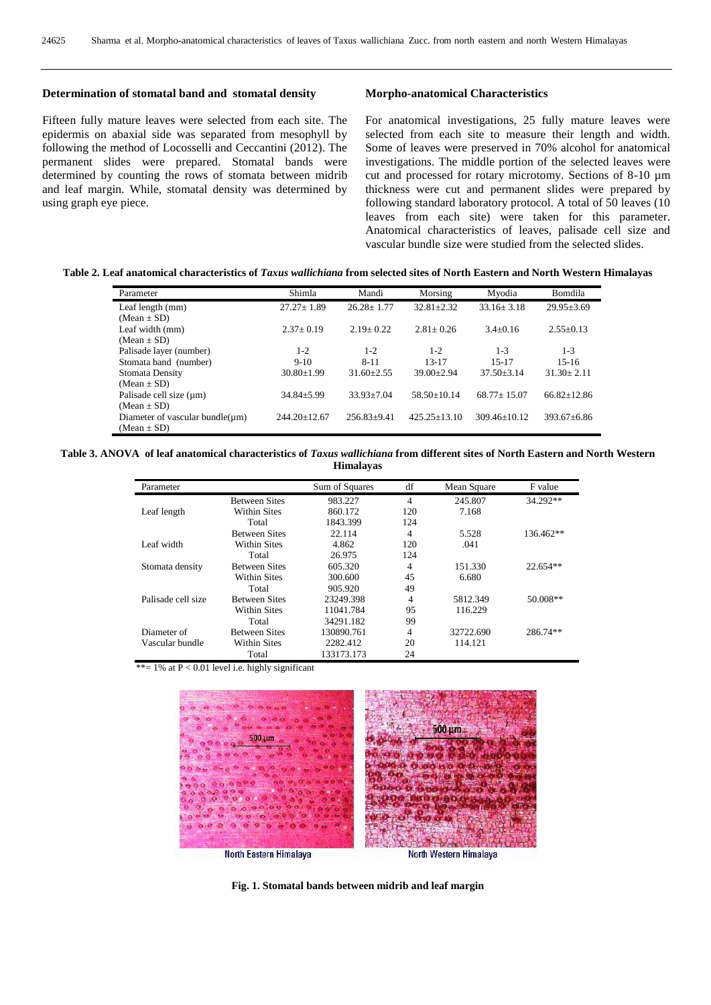#### **Determination of stomatal band and stomatal density**

Fifteen fully mature leaves were selected from each site. The epidermis on abaxial side was separated from mesophyll by following the method of Locosselli and Ceccantini (2012). The permanent slides were prepared. Stomatal bands were determined by counting the rows of stomata between midrib and leaf margin. While, stomatal density was determined by using graph eye piece.

#### **Morpho-anatomical Characteristics**

For anatomical investigations, 25 fully mature leaves were selected from each site to measure their length and width. Some of leaves were preserved in 70% alcohol for anatomical investigations. The middle portion of the selected leaves were cut and processed for rotary microtomy. Sections of 8-10 µm thickness were cut and permanent slides were prepared by following standard laboratory protocol. A total of 50 leaves (10 leaves from each site) were taken for this parameter. Anatomical characteristics of leaves, palisade cell size and vascular bundle size were studied from the selected slides.

#### **Table 2. Leaf anatomical characteristics of** *Taxus wallichiana* **from selected sites of North Eastern and North Western Himalayas**

| Parameter                             | Shimla           | Mandi             | Morsing          | Myodia           | Bomdila           |
|---------------------------------------|------------------|-------------------|------------------|------------------|-------------------|
| Leaf length (mm)                      | $27.27 \pm 1.89$ | $26.28 \pm 1.77$  | $32.81 \pm 2.32$ | $33.16 \pm 3.18$ | $29.95 \pm 3.69$  |
| $(Mean \pm SD)$                       |                  |                   |                  |                  |                   |
| Leaf width (mm)                       | $2.37+0.19$      | $2.19 + 0.22$     | $2.81 + 0.26$    | $3.4 + 0.16$     | $2.55+0.13$       |
| $(Mean \pm SD)$                       |                  |                   |                  |                  |                   |
| Palisade layer (number)               | $1 - 2$          | $1 - 2$           | $1 - 2$          | $1 - 3$          | $1 - 3$           |
| Stomata band (number)                 | $9-10$           | $8 - 11$          | $13 - 17$        | $15 - 17$        | $15-16$           |
| Stomata Density                       | $30.80 \pm 1.99$ | $31.60 + 2.55$    | $39.00 + 2.94$   | $37.50 + 3.14$   | $31.30 \pm 2.11$  |
| $(Mean \pm SD)$                       |                  |                   |                  |                  |                   |
| Palisade cell size (um)               | $34.84 \pm 5.99$ | $33.93 + 7.04$    | $58.50 + 10.14$  | $68.77 + 15.07$  | $66.82 \pm 12.86$ |
| $(Mean \pm SD)$                       |                  |                   |                  |                  |                   |
| Diameter of vascular bundle( $\mu$ m) | $244.20 + 12.67$ | $256.83 \pm 9.41$ | $425.25 + 13.10$ | $309.46 + 10.12$ | $393.67 + 6.86$   |
| $(Mean \pm SD)$                       |                  |                   |                  |                  |                   |

#### **Table 3. ANOVA of leaf anatomical characteristics of** *Taxus wallichiana* **from different sites of North Eastern and North Western Himalayas**

| Parameter          |                      | Sum of Squares | df  | Mean Square | F value    |
|--------------------|----------------------|----------------|-----|-------------|------------|
|                    | <b>Between Sites</b> | 983.227        | 4   | 245.807     | 34.292**   |
| Leaf length        | <b>Within Sites</b>  | 860.172        | 120 | 7.168       |            |
|                    | Total                | 1843.399       | 124 |             |            |
|                    | <b>Between Sites</b> | 22.114         | 4   | 5.528       | 136.462**  |
| Leaf width         | Within Sites         | 4.862          | 120 | .041        |            |
|                    | Total                | 26.975         | 124 |             |            |
| Stomata density    | <b>Between Sites</b> | 605.320        | 4   | 151.330     | $22.654**$ |
|                    | Within Sites         | 300.600        | 45  | 6.680       |            |
|                    | Total                | 905.920        | 49  |             |            |
| Palisade cell size | <b>Between Sites</b> | 23249.398      | 4   | 5812.349    | 50.008**   |
|                    | Within Sites         | 11041.784      | 95  | 116.229     |            |
|                    | Total                | 34291.182      | 99  |             |            |
| Diameter of        | <b>Between Sites</b> | 130890.761     | 4   | 32722.690   | 286.74**   |
| Vascular bundle    | <b>Within Sites</b>  | 2282.412       | 20  | 114.121     |            |
|                    | Total                | 133173.173     | 24  |             |            |

\*\*=  $1\%$  at  $P < 0.01$  level i.e. highly significant



**Fig. 1. Stomatal bands between midrib and leaf margin**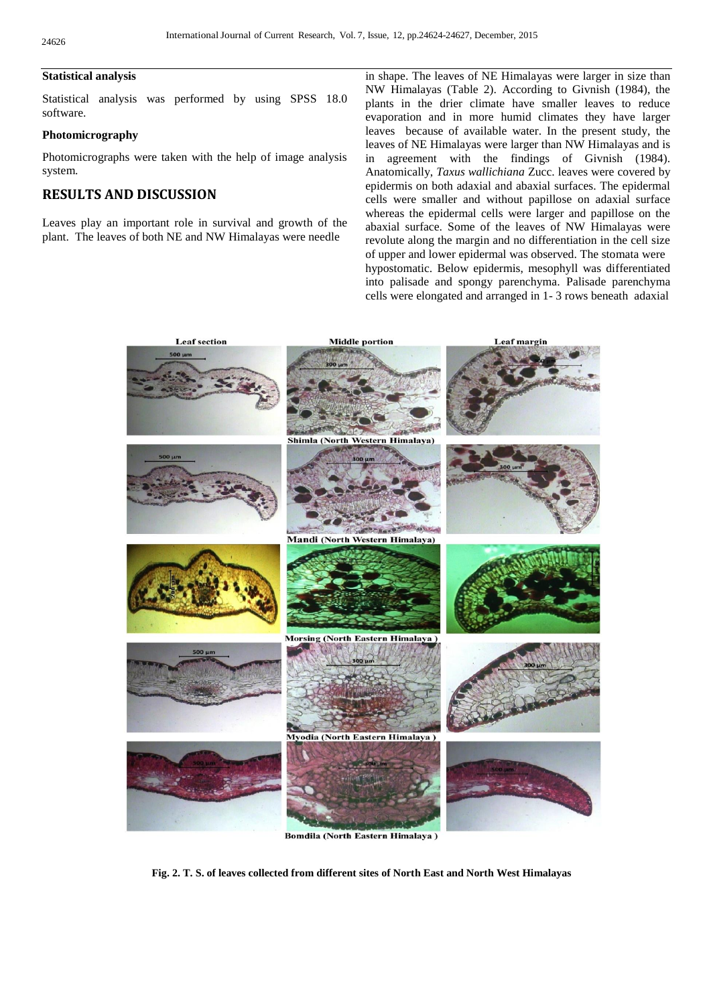#### **Statistical analysis**

Statistical analysis was performed by using SPSS 18.0 software.

### **Photomicrography**

Photomicrographs were taken with the help of image analysis system.

# **RESULTS AND DISCUSSION**

Leaves play an important role in survival and growth of the plant. The leaves of both NE and NW Himalayas were needle

in shape. The leaves of NE Himalayas were larger in size than NW Himalayas (Table 2). According to Givnish (1984), the plants in the drier climate have smaller leaves to reduce evaporation and in more humid climates they have larger leaves because of available water. In the present study, the leaves of NE Himalayas were larger than NW Himalayas and is in agreement with the findings of Givnish (1984). Anatomically, *Taxus wallichiana* Zucc. leaves were covered by epidermis on both adaxial and abaxial surfaces. The epidermal cells were smaller and without papillose on adaxial surface whereas the epidermal cells were larger and papillose on the abaxial surface. Some of the leaves of NW Himalayas were revolute along the margin and no differentiation in the cell size of upper and lower epidermal was observed. The stomata were hypostomatic. Below epidermis, mesophyll was differentiated into palisade and spongy parenchyma. Palisade parenchyma cells were elongated and arranged in 1- 3 rows beneath adaxial



**Bomdila (North Eastern Himalaya)** 

**Fig. 2. T. S. of leaves collected from different sites of North East and North West Himalayas**